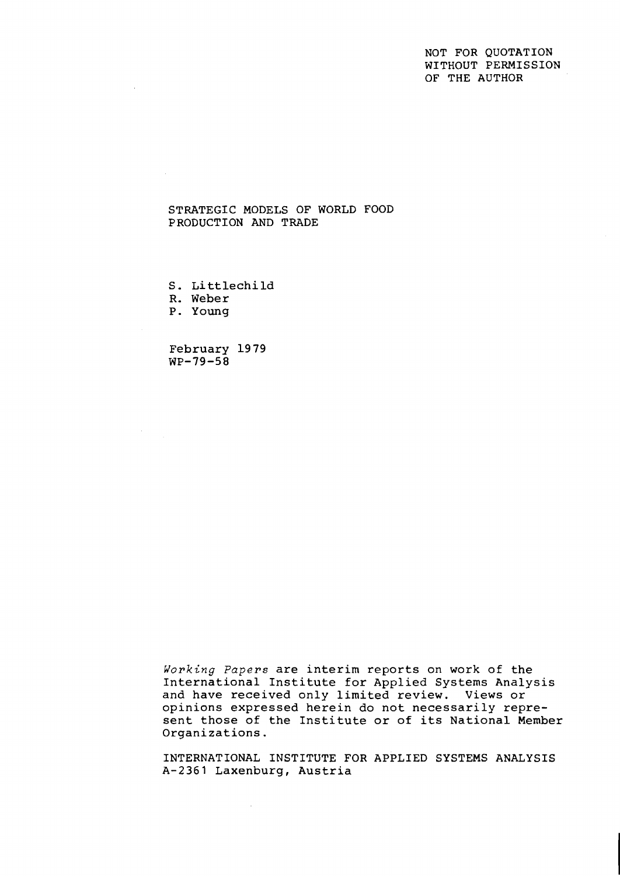# NOT FOR QUOTATION WITHOUT PERMISSION OF THE AUTHOR

# STRATEGIC MODELS OF WORLD FOOD PRODUCTION AND TRADE

<sup>S</sup>. Li ttlechild

R. Weber

P. Young

 $\mathcal{F}^{\text{max}}_{\text{max}}$ 

February 19 79  $WP-79-58$ 

**Working** *Papers* are interim reports on work of the International Institute for Applied Systems Analysis and have received only limited review. Views or opinions expressed herein do not necessarily represent those of the Institute or of its National Member Organizations.

INTERNATIONAL INSTITUTE FOR APPLIED SYSTEMS ANALYSIS A-2361 Laxenburg, Austria

 $\sim$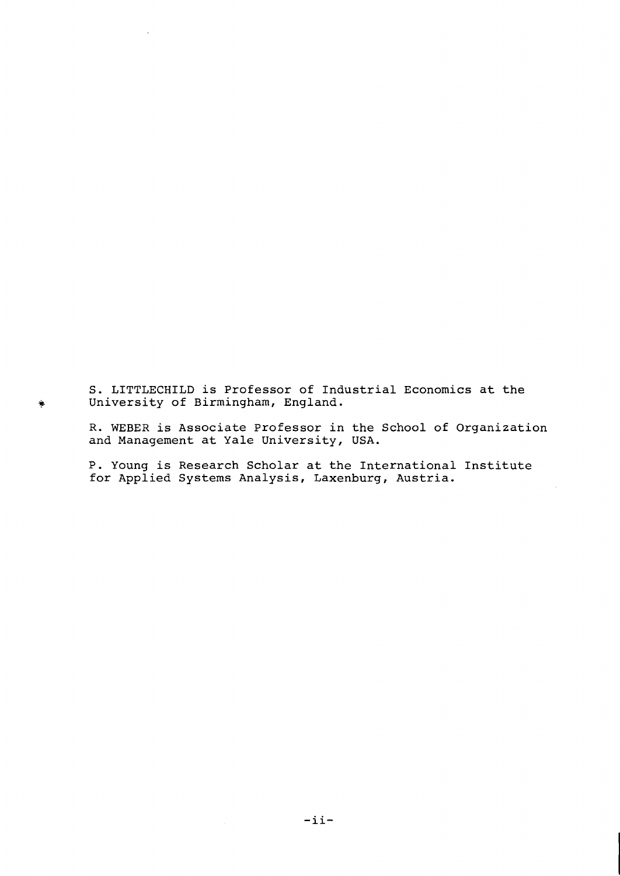**S. LITTLECHILD is Professor of Industrial Economics at the**  + **University of Birmingham, England.** 

**R. WEBER is Associate Professor in the School of Organization and Management at Yale University, USA.** 

**P. Young is Research Scholar at the International Institute for Applied Systems Analysis, Laxenburg, Austria.**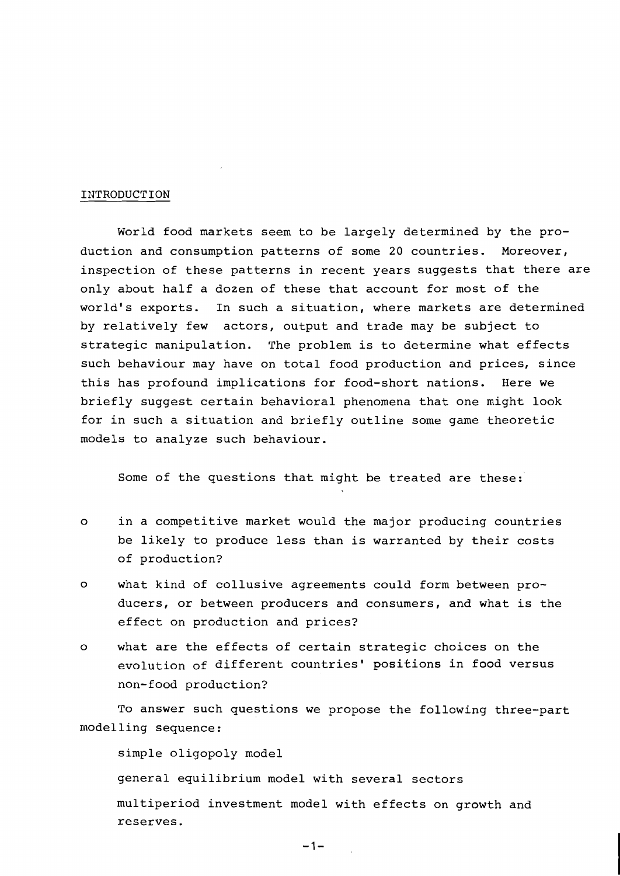### INTRODUCTION

World food markets seem to be largely determined by the production and consumption patterns of some 20 countries. Moreover, inspection of these patterns in recent years suggests that there are only about half a dozen of these that account for most of the world's exports. In such a situation, where markets are determined by relatively few actors, output and trade may be subject to strategic manipulation. The problem is to determine what effects such behaviour may have on total food production and prices, since this has profound implications for food-short nations. Here we briefly suggest certain behavioral phenomena that one might look for in such a situation and briefly outline some game theoretic models to analyze such behaviour.

Some of the questions that might be treated are these:

- o in a competitive market would the major producing countries be likely to produce less than is warranted by their costs of production?
- o what kind of collusive agreements could form between producers, or between producers and consumers, and what is the effect on production and prices?
- o what are the effects of certain strategic choices on the evolution of different countries' positions in food versus non-food production?

To answer such questions we propose the following three-part modelling sequence :

simple oligopoly model general equilibrium model with several sectors multiperiod investment model with effects on growth and reserves.

 $-1-$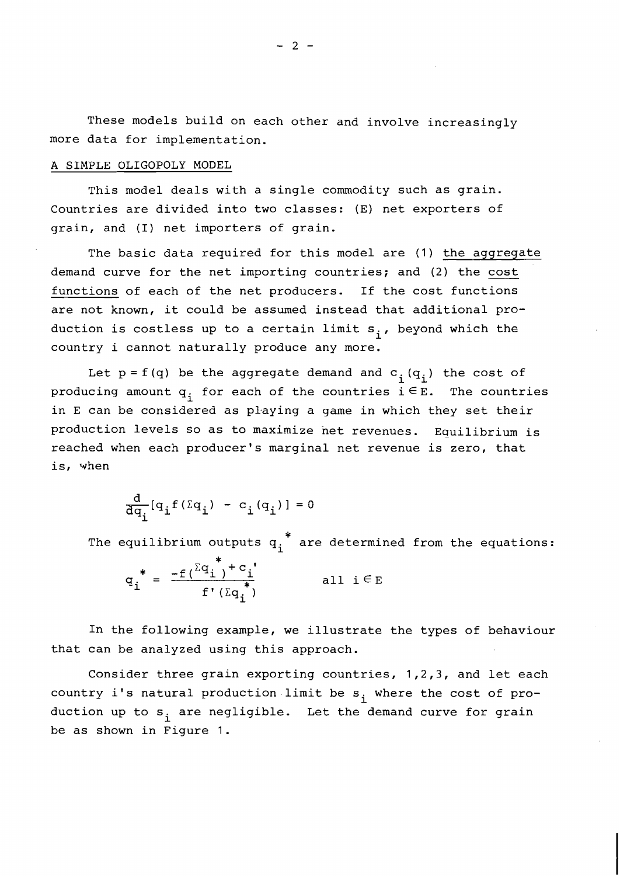These models build on each other and involve increasingly more data for implementation.

## A SIMPLE OLIGOPOLY MODEL

This model deals with a single commodity such as grain. Countries are divided into two classes: (E) net exporters of grain, and (I) net importers of grain.

The basic data required for this model are (1) the aggregate demand curve for the net importing countries; and (2) the cost functions of each of the net producers. If the cost functions are not known, it could be assumed instead that additional production is costless up to a certain limit  $s_i$ , beyond which the country i cannot naturally produce any more.

Let  $p = f(q)$  be the aggregate demand and  $c_{\hat{\textbf{\textit{i}}}}(q_{\hat{\textbf{\textit{i}}}})$  the cost of producing amount  $q_i$  for each of the countries  $i \in E$ . The countries in E can be considered as playing a game in which they set their production levels so as to maximize net revenues. Equilibrium is reached when each producer's marginal net revenue is zero, that is, when

$$
\frac{\mathrm{d}}{\mathrm{d}q_{i}}[\mathbf{q}_{i}f(\Sigma\mathbf{q}_{i}) - \mathbf{c}_{i}(\mathbf{q}_{i})] = 0
$$

\* The equilibrium outputs  ${\tt q_i^{\,}}$  are determined from the equations:

$$
q_i^* = \frac{-f(\Sigma q_i^* + c_i)}{f'(\Sigma q_i^*)} \qquad \text{all } i \in E
$$

In the following example, we illustrate the types of behaviour that can be analyzed using this approach.

Consider three grain exporting countries, 1,2,3, and let each country i's natural production limit be  $s_i$  where the cost of production up to  $s_i$  are negligible. Let the demand curve for grain be as shown in Figure 1.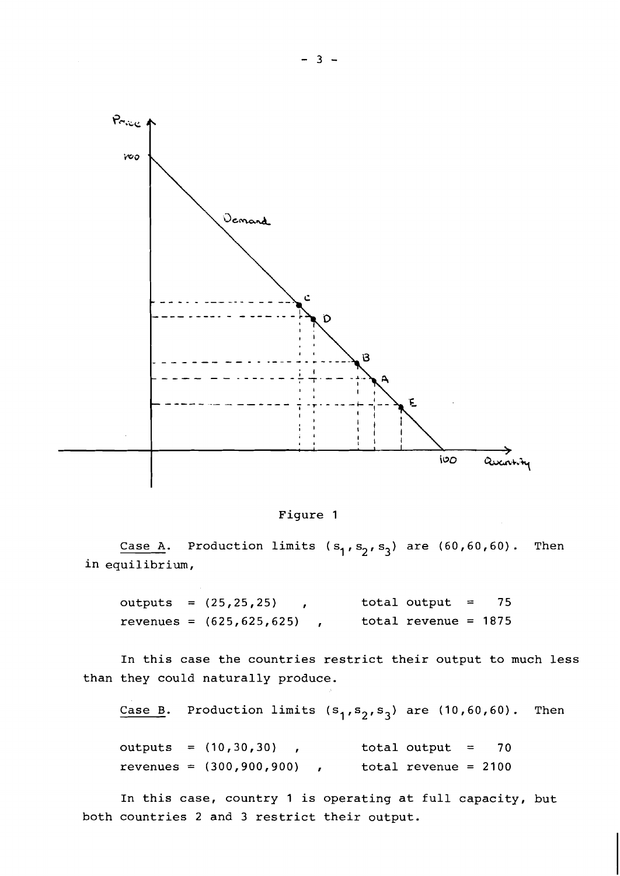

Figure 1

Case A. Production limits  $(s_1, s_2, s_3)$  are  $(60, 60, 60)$ . Then in equilibrium,

```
outputs = (25, 25, 25) , total output = 75
revenues = (625, 625, 625), total revenue = 1875
```
In this case the countries restrict their output to much less than they could naturally produce.

Case B. Production limits  $(s_1, s_2, s_3)$  are (10,60,60). Then

outputs =  $(10, 30, 30)$ , total output = 70 revenues =  $(300, 900, 900)$ , total revenue = 2100

In this case, country 1 is operating at full capacity, but both countries 2 and 3 restrict their output.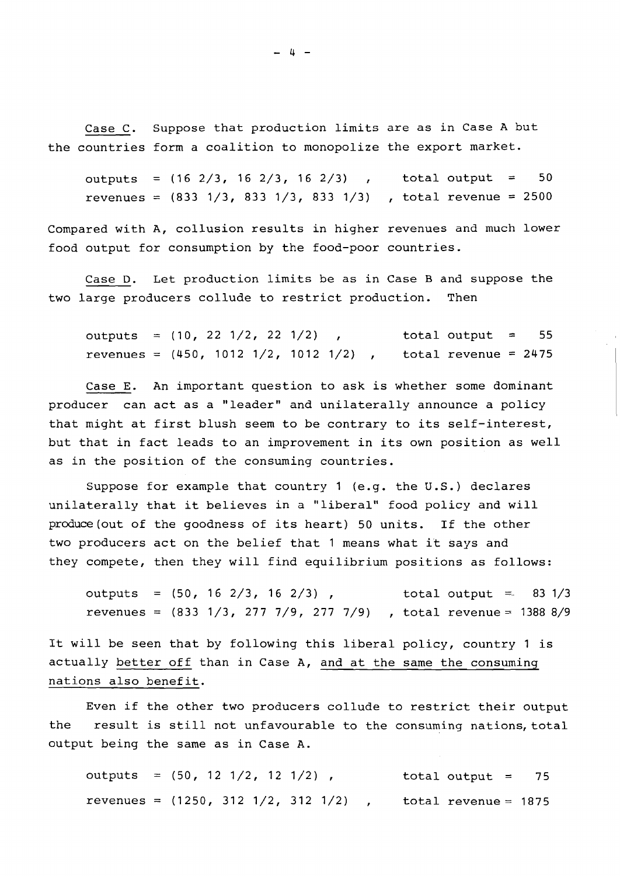Case C. Suppose that production limits are as in Case A but the countries form a coalition to monopolize the export market.

outputs =  $(16 \t2/3, 16 \t2/3, 16 \t2/3)$ , total output = 50 revenues =  $(833 \t1/3, 833 \t1/3, 833 \t1/3)$ , total revenue = 2500

Compared with A, collusion results in higher revenues and much lower food output for consumption by the food-poor countries.

Case D. Let production limits be as in Case B and suppose the two large producers collude to restrict production. Then

outputs =  $(10, 22, 1/2, 22, 1/2)$ , total output = 55 revenues =  $(450, 1012 \frac{1}{2}, 1012 \frac{1}{2})$ , total revenue = 2475

Case E. An important question to ask is whether some dominant producer can act as a "leader" and unilaterally announce a policy that might at first blush seem to be contrary to its self-interest, but that in fact leads to an improvement in its own position as well as in the position of the consuming countries.

Suppose for example that country 1 (e.g. the U.S.) declares unilaterally that it believes in a "liberal" food policy and will produce (out of the goodness of its heart) 50 units. If the other two producers act on the belief that 1 means what it says and they compete, then they will find equilibrium positions as follows:

outputs =  $(50, 16 \frac{2}{3}, 16 \frac{2}{3})$ , total output = 83 1/3 revenues =  $(833 \t1/3, 277 \t7/9, 277 \t7/9)$ , total revenue = 1388 8/9

It will be seen that by following this liberal policy, country 1 is actually better off than in Case A, and at the same the consuming nations also benefit.

Even if the other two producers collude to restrict their output the result is still not unfavourable to the consuming nations, total output being the same as in Case A.

outputs =  $(50, 12 \frac{1}{2}, 12 \frac{1}{2})$ , total output = 75 revenues =  $(1250, 312 \frac{1}{2}, 312 \frac{1}{2})$ , total revenue = 1875

 $-4-$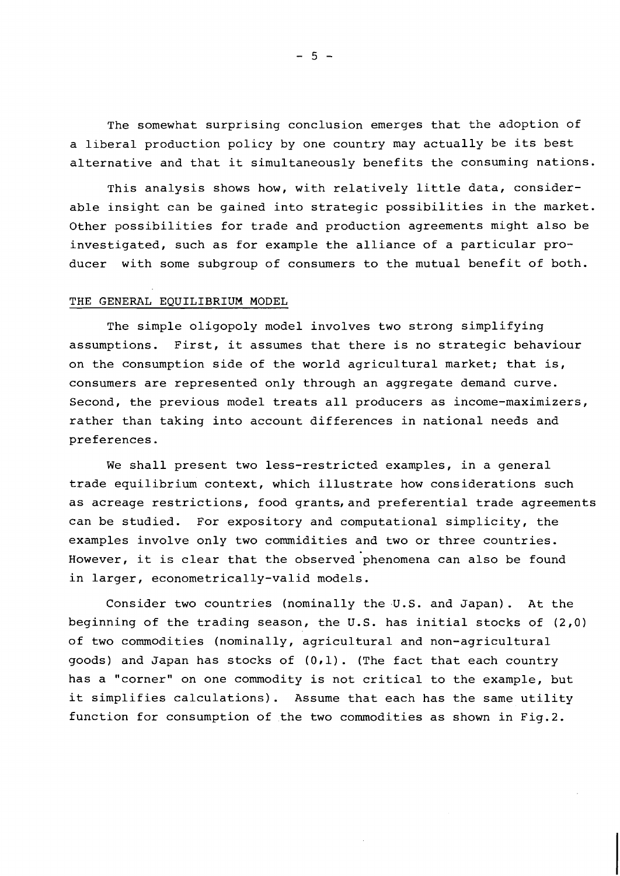The somewhat surprising conclusion emerges that the adoption of a liberal production policy by one country may actually be its best alternative and that it simultaneously benefits the consuming nations.

This analysis shows how, with relatively little data, considerable insight can be gained into strategic possibilities in the market. Other possibilities for trade and production agreements might also be investigated, such as for example the alliance of a particular producer with some subgroup of consumers to the mutual benefit of both.

#### THE GENERAL EQUILIBRIUM MODEL

The simple oligopoly model involves two strong simplifying assumptions. First, it assumes that there is no strategic behaviour on the consumption side of the world agricultural market; that is, consumers are represented only through an aggregate demand curve. Second, the previous model treats all producers as income-maximizers, rather than taking into account differences in national needs and preferences.

We shall present two less-restricted examples, in a general trade equilibrium context, which illustrate how considerations such as acreage restrictions, food grants, and preferential trade agreements can be studied. For expository and computational simplicity, the examples involve only two commidities and two or three countries. However, it is clear that the observed phenomena can also be found in larger, econometrically-valid models.

Consider two countries (nominally the U.S. and Japan). At the beginning of the trading season, the U.S. has initial stocks of **(2,O)**  of two commodities (nominally, agricultural and non-agricultural goods) and Japan has stocks of (0,l). (The fact that each country has a "corner" on one commodity is not critical to the example, but it simplifies calculations). Assume that each has the same utility function for consumption of the two commodities as shown in Fig.2.

 $-5 -$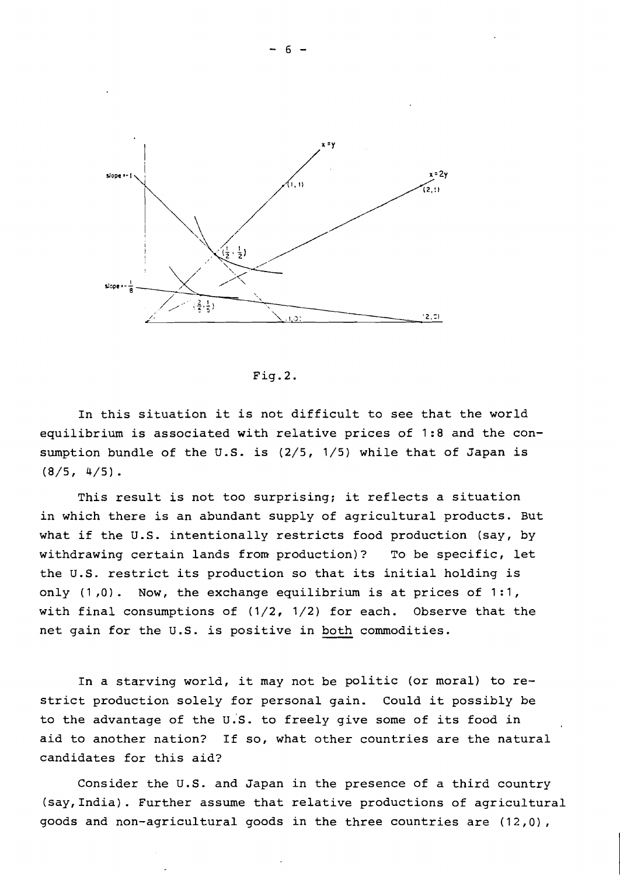

 $Fig. 2.$ 

In this situation it is not difficult to see that the world equilibrium is associated with relative prices of 1:8 and the consumption bundle of the **U.S.** is (2/5, 1/5) while that of Japan is  $(8/5, 4/5).$ 

This result is not too surprising; it reflects a situation in which there is an abundant supply of agricultural products. But what if the **U.S.** intentionally restricts food production (say, by withdrawing certain lands from production)? To be specific, let the **U.S.** restrict its production so that its initial holding is only  $(1,0)$ . Now, the exchange equilibrium is at prices of 1:1, with final consumptions of  $(1/2, 1/2)$  for each. Observe that the net gain for the **U.S.** is positive in both commodities.

In a starving world, it may not be politic (or moral) to restrict production solely for personal gain. Could it possibly be to the advantage of the **u.'s.** to freely give some of its food in aid to another nation? If so, what other countries are the natural candidates for this aid?

Consider the **U.S.** and Japan in the presence of a third country (say,India). Further assume that relative productions of agricultural goods and non-agricultural goods in the three countries are (12,0),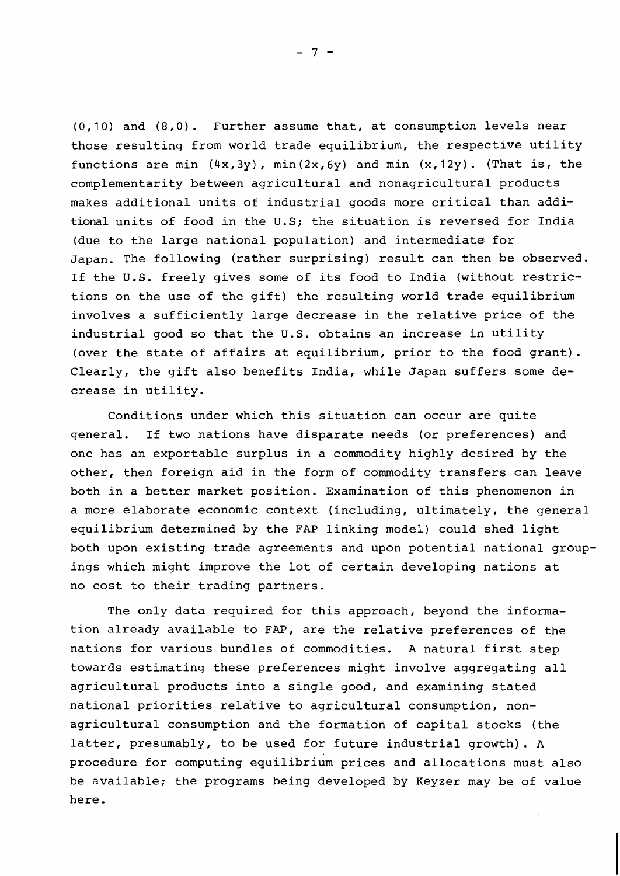(0,10) and (8,O). Further assume that, at consumption levels near those resulting from world trade equilibrium, the respective utility functions are min  $(4x,3y)$ , min $(2x,6y)$  and min  $(x,12y)$ . (That is, the complementarity between agricultural and nonagricultural products makes additional units of industrial goods more critical than additional units of food in the U.S; the situation is reversed for India (due to the large national population) and intermediate for Japan. The following (rather surprising) result can then be observed. If the U.S. freely gives some of its food to India (without restrictions on the use of the gift) the resulting world trade equilibrium involves a sufficiently large decrease in the relative price of the industrial good so that the U.S. obtains an increase in utility (over the state of affairs at equilibrium, prior to the food grant). Clearly, the gift also benefits India, while Japan suffers some decrease in utility.

Conditions under which this situation can occur are quite general. If two nations have disparate needs (or preferences) and one has an exportable surplus in a commodity highly desired by the other, then foreign aid in the form of commodity transfers can leave both in a better market position. Examination of this phenomenon in a more elaborate economic context (including, ultimately, the general equilibrium determined by the FAP linking model) could shed light both upon existing trade agreements and upon potential national groupings which might improve the lot of certain developing nations at no cost to their trading partners.

The only data required for this approach, beyond the information already available to FAP, are the relative preferences of the nations for various bundles of commodities. A natural first step towards estimating these preferences might involve aggregating all agricultural products into a single good, and examining stated national priorities relative to agricultural consumption, nonagricultural consumption and the formation of capital stocks (the latter, presumably, to be used for future industrial growth). A procedure for computing equilibrium prices and allocations must also be available; the programs being developed by Keyzer may be of value here.

 $-7-$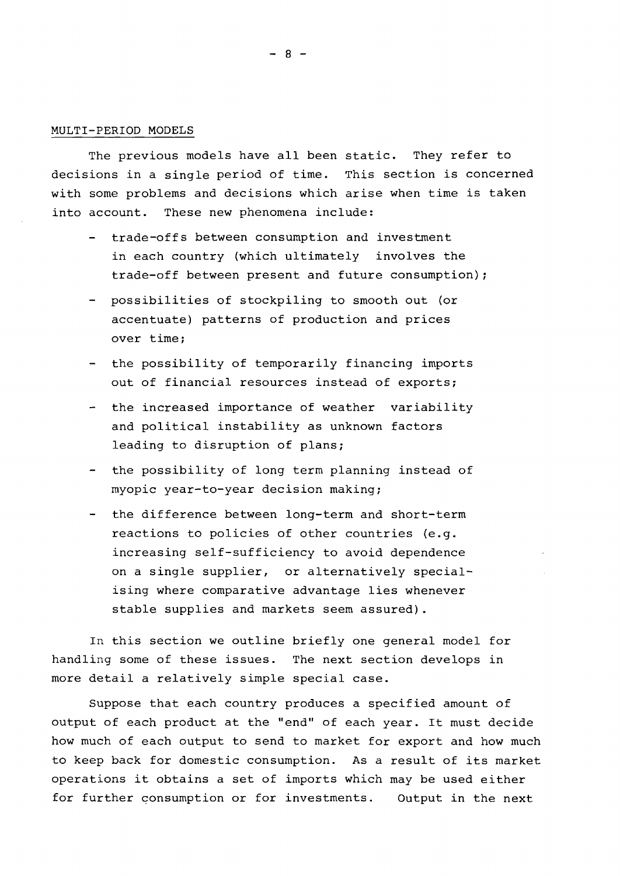## MULTI-PERIOD MODELS

The previous models have all been static. They refer to decisions in a single period of time. This section is concerned with some problems and decisions which arise when time is taken into account. These new phenomena include:

- trade-offs between consumption and investment in each country (which ultimately involves the trade-off between present and future consumption);
- possibilities of stockpiling to smooth out (or accentuate) patterns of production and prices over time;
- the possibility of temporarily financing imports out of financial resources instead of exports;
- the increased importance of weather variability and political instability as unknown factors leading to disruption of plans;
- the possibility of long term planning instead of myopic year-to-year decision making;
- the difference between long-term and short-term reactions to policies of other countries (e.g. increasing self-sufficiency to avoid dependence on a single supplier, or alternatively specialising where comparative advantage lies whenever stable supplies and markets seem assured).

In this section we outline briefly one general model for handling some of these issues. The next section develops in more detail a relatively simple special case.

Suppose that each country produces a specified amount of output of each product at the "end" of each year. It must decide how much of each output to send to market for export and how much to keep back for domestic consumption. As a result of its market operations it obtains a set of imports which may be used either for further consumption or for investments. Output in the next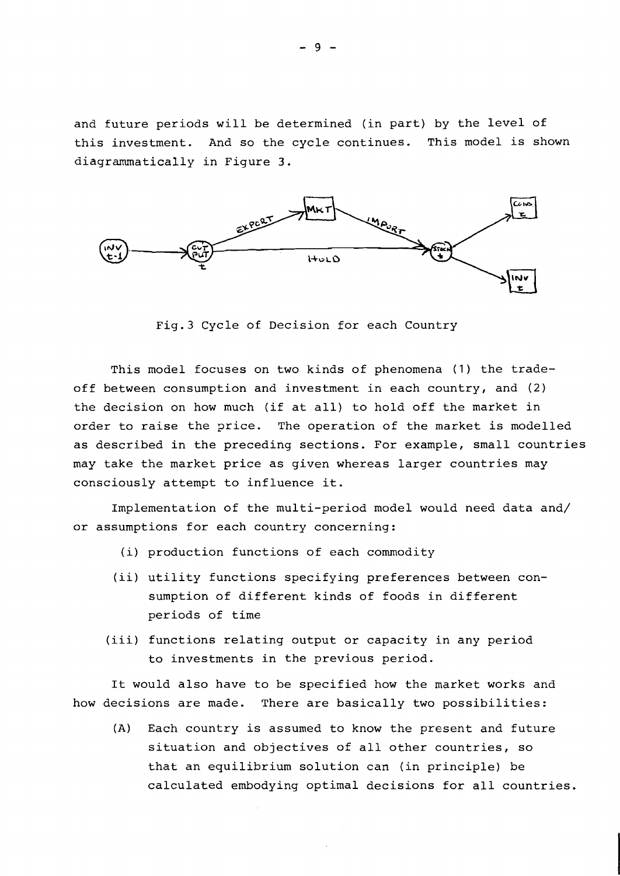and future periods will be determined (in part) by the level of this investment. And so the cycle continues. This model is shown diagrammatically in Figure 3.



Fig.3 Cycle of Decision for each Country

This model focuses on two kinds of phenomena (1) the tradeoff between consumption and investment in each country, and (2) the decision on how much (if at all) to hold off the market in order to raise the price. The operation of the market is modelled as described in the preceding sections. For example, small countries may take the market price as given whereas larger countries may consciously attempt to influence it.

Implementation of the multi-period model would need data and/ or assumptions for each country concerning:

- (i) production functions of each commodity
- (ii) utility functions specifying preferences between consumption of different kinds of foods in different periods of time
- (iii) functions relating output or capacity in any period to investments in the previous period.

It would also have to be specified how the market works and how decisions are made. There are basically two possibilities:

(A) Each country is assumed to know the present and future situation and objectives of all other countries, so that an equilibrium solution can (in principle) be calculated embodying optimal decisions for all countries.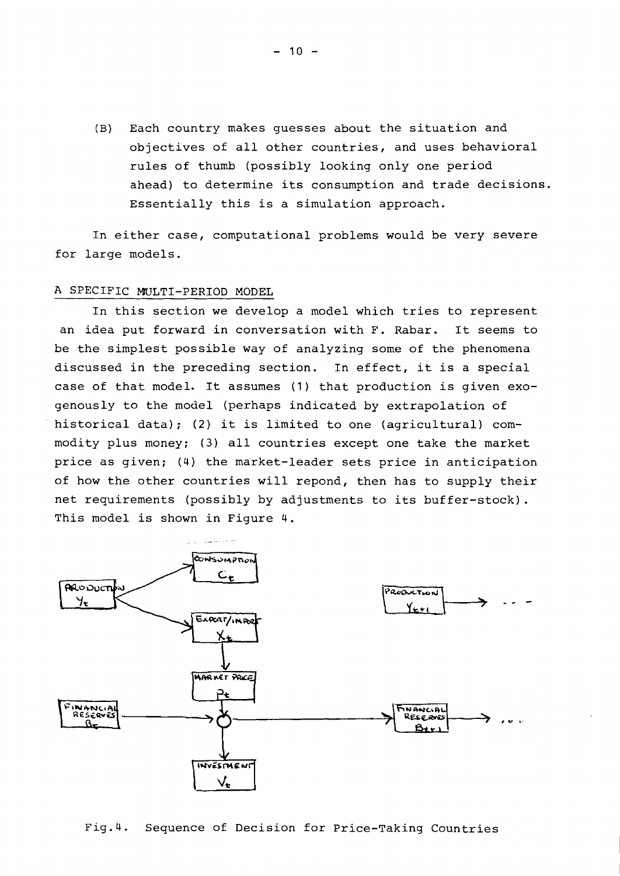(B) Each country makes guesses about the situation and objectives of all other countries, and uses behavioral rules of thumb (possibly looking only one period ahead) to determine its consumption and trade decisions. Essentially this is a simulation approach.

In either case, computational problems would be very severe for large models.

# A SPECIFIC MULTI-PERIOD MODEL

In this section we develop a model which tries to represent an idea put forward in conversation with F. Rabar. It seems to be the simplest possible way of analyzing some of the phenomena discussed in the preceding section. In effect, it is a special case of that model. It assumes (1) that production is given exogenously to the model (perhaps indicated by extrapolation of historical data); (2) it is limited to one (agricultural) commodity plus money; (3) all countries except one take the market price as given; (4) the market-leader sets price in anticipation of how the other countries will repond, then has to supply their net requirements (possibly by adjustments to its buffer-stock). This model is shown in Figure 4.



Fig.4. Sequence of Decision for Price-Taking Countries

 $-10 -$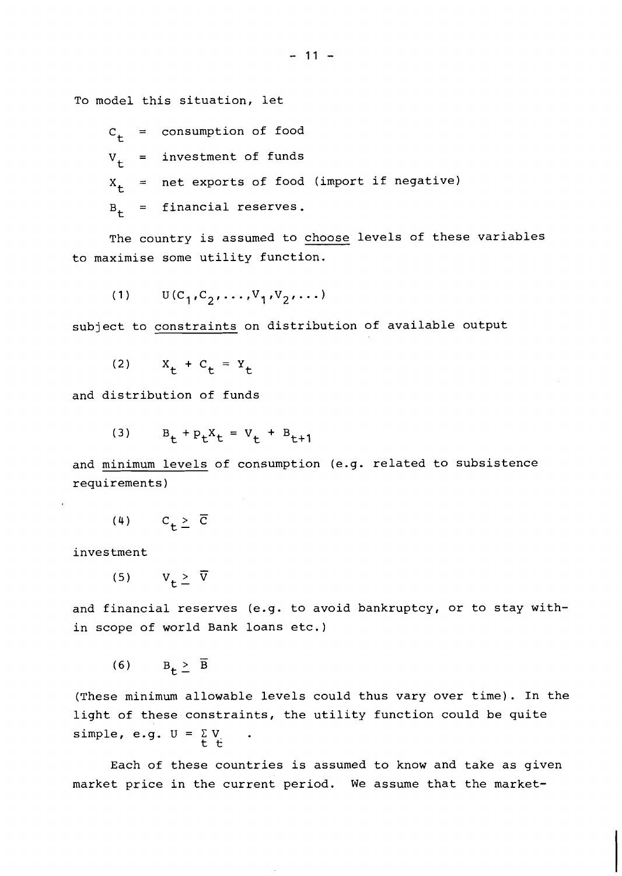To model this situation, let

$$
c_t = \text{consumption of food}
$$
\n
$$
v_t = \text{investment of funds}
$$
\n
$$
x_t = \text{net exports of food (import if negative)}
$$
\n
$$
B_t = \text{financial reserves.}
$$

The country is assumed to choose levels of these variables to maximise some utility function.

$$
(1) \qquad \mathbf{U}(\mathbf{C}_1, \mathbf{C}_2, \dots, \mathbf{V}_1, \mathbf{V}_2, \dots)
$$

subject to constraints on distribution of available output

(2)  $X_t + C_t = Y_t$ 

and distribution of funds

$$
(3) \tB_t + p_t X_t = V_t + B_{t+1}
$$

and minimum levels of consumption (e.g. related to subsistence requirements)

$$
(4) \qquad C_{+} \geq \overline{C}
$$

investment

$$
(5) \qquad V_{\mathbf{t}} \geq \overline{V}
$$

and financial reserves (e.g. to avoid bankruptcy, or to stay within scope of world Bank loans etc.)

$$
(6) \tB+ \geq \overline{B}
$$

(These minimum allowable levels could thus vary over time). In the light of these constraints, the utility function could be quite simple, e.g.  $U = \Sigma V$ t t

Each of these countries is assumed to know and take as given market price in the current period. We assume that the market-

 $-11 -$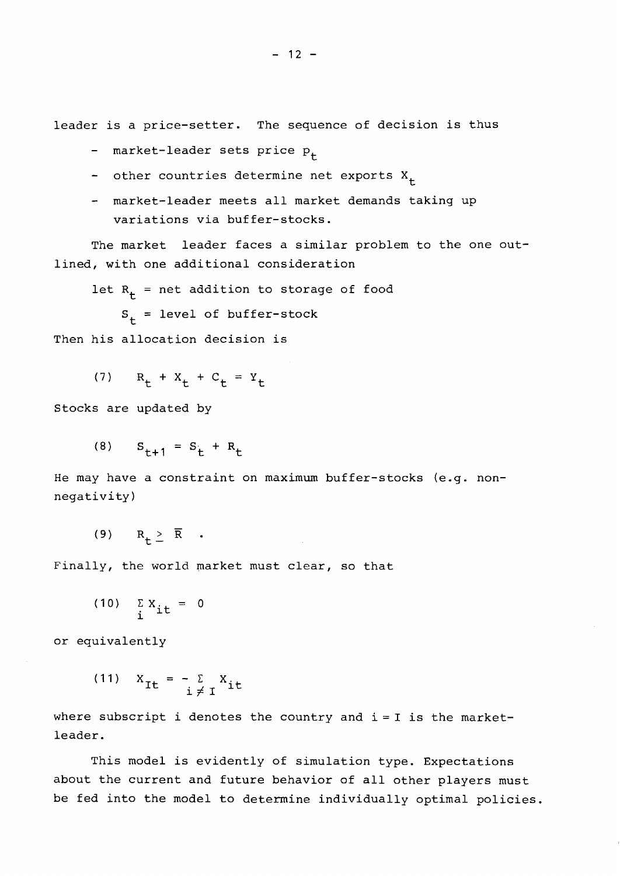leader is a price-setter. The sequence of decision is thus

- market-leader sets price  $P_t$
- other countries determine net exports  $X_+$
- market-leader meets all market demands taking up variations via buffer-stocks.

The market leader faces a similar problem to the one outlined, with one additional consideration

let  $R_+$  = net addition to storage of food  $S_{+}$  = level of buffer-stock

Then his allocation decision is

(7)  $R_{+} + X_{+} + C_{+} = Y_{+}$ 

Stocks are updated by

(8) 
$$
S_{t+1} = S_t + R_t
$$

He may have a constraint on maximum buffer-stocks (e.g. nonnegativity)

(9)  $R_+ \geq \overline{R}$  .

Finally, the world market must clear, so that

$$
(10) \quad \sum_{i} X_{i t} = 0
$$

or equivalently

(11) 
$$
X_{It} = -\sum_{i \neq i} X_{it}
$$

where subscript i denotes the country and  $i = I$  is the marketleader.

This model is evidently of simulation type. Expectations about the current and future behavior of all other players must be fed into the model to determine individually optimal policies.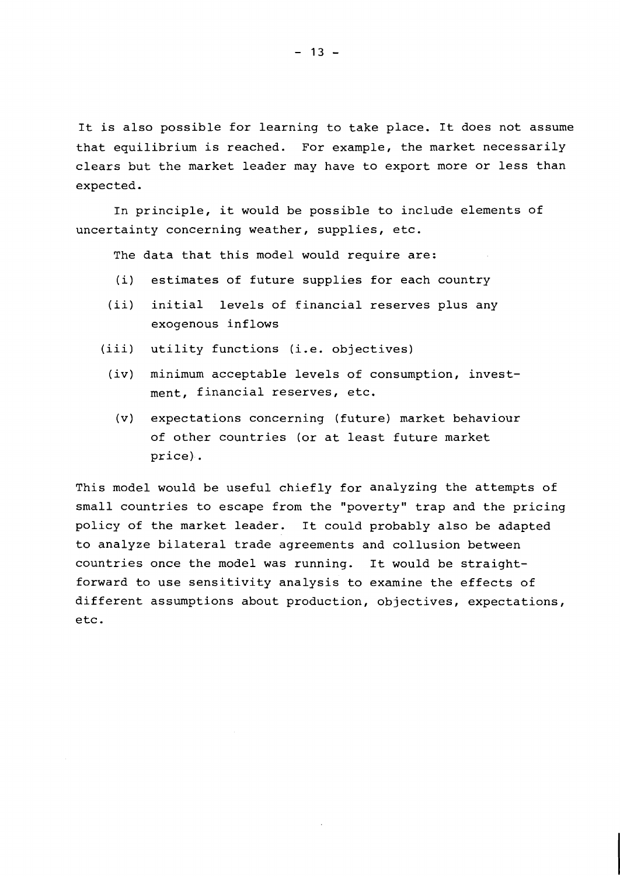It is also possible for learning to take place. It does not assume that equilibrium is reached. For example, the market necessarily clears but the market leader may have to export more or less than expected.

In principle, it would be possible to include elements of uncertainty concerning weather, supplies, etc.

The data that this model would require are:

- (i) estimates of future supplies for each country
- (ii) initial levels of financial reserves plus any exogenous inflows
- (iii) utility functions (i.e. objectives)
	- (iv) minimum acceptable levels of consumption, investment, financial reserves, etc.
		- (v) expectations concerning (future) market behaviour of other countries (or at least future market price).

This model would be useful chiefly for analyzing the attempts of small countries to escape from the "poverty" trap and the pricing policy of the market leader. It could probably also be adapted to analyze bilateral trade agreements and collusion between countries once the model was running. It would be straightforward to use sensitivity analysis to examine the effects of different assumptions about production, objectives, expectations, etc.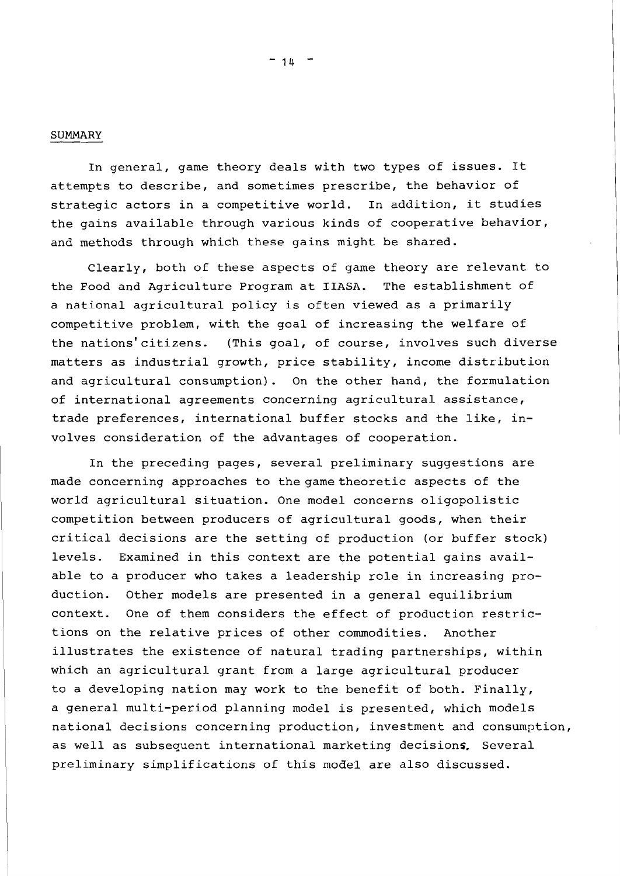## SUMMARY

In general, game theory deals with two types of issues. It attempts to describe, and sometimes prescribe, the behavior of strategic actors in a competitive world. In addition, it studies the gains available through various kinds of cooperative behavior, and methods through which these gains might be shared.

Clearly, both of these aspects of game theory are relevant to the Food and Agriculture Program at IIASA. The establishment of a national agricultural policy is often viewed as a primarily competitive problem, with the goal of increasing the welfare of the nations'citizens. (This goal, of course, involves such diverse matters as industrial growth, price stability, income distribution and agricultural consumption). On the other hand, the formulation of international agreements concerning agricultural assistance, trade preferences, international buffer stocks and the like, involves consideration of the advantages of cooperation.

In the preceding pages, several preliminary suggestions are made concerning approaches to the game theoretic aspects of the world agricultural situation. One model concerns oligopolistic competition between producers of agricultural goods, when their critical decisions are the setting of production (or buffer stock) levels. Examined in this context are the potential gains available to a producer who takes a leadership role in increasing production. Other models are presented in a general equilibrium context. One of them considers the effect of production restrictions on the relative prices of other commodities. Another illustrates the existence of natural trading partnerships, within which an agricultural grant from a large agricultural producer to a developing nation may work to the benefit of both. Finally, a general multi-period planning model is presented, which models national decisions concerning production, investment and consumption, as well as subsequent international marketing decisions. Several preliminary simplifications of this model are also discussed.